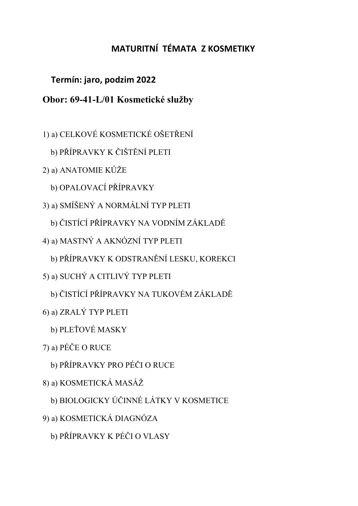## MATURITNÍ TÉMATA Z KOSMETIKY

## Termín: jaro, podzim 2022

## Obor: 69-41-L/01 Kosmetické služby

- 1) a) CELKOVÉ KOSMETICKÉ OŠETŘENÍ
	- b) PŘÍPRAVKY K ČIŠTĚNÍ PLETI
- 2) a) ANATOMIE KŮŽE
	- b) OPALOVACÍ PŘÍPRAVKY
- 3) a) SMÍŠENÝ A NORMÁLNÍ TYP PLETI
	- b) ČISTÍCÍ PŘÍPRAVKY NA VODNÍM ZÁKLADĚ
- 4) a) MASTNÝ A AKNÓZNÍ TYP PLETI
	- b) PŘÍPRAVKY K ODSTRANĚNÍ LESKU, KOREKCI
- 5) a) SUCHÝ A CITLIVÝ TYP PLETI
	- b) ČISTÍCÍ PŘÍPRAVKY NA TUKOVÉM ZÁKLADĚ
- 6) a) ZRALÝ TYP PLETI
	- b) PLEŤOVÉ MASKY
- 7) a) PÉČE O RUCE
	- b) PŘÍPRAVKY PRO PÉČI O RUCE
- 8) a) KOSMETICKÁ MASÁŽ
	- b) BIOLOGICKY ÚČINNÉ LÁTKY V KOSMETICE
- 9) a) KOSMETICKÁ DIAGNÓZA
	- b) PŘÍPRAVKY K PÉČI O VLASY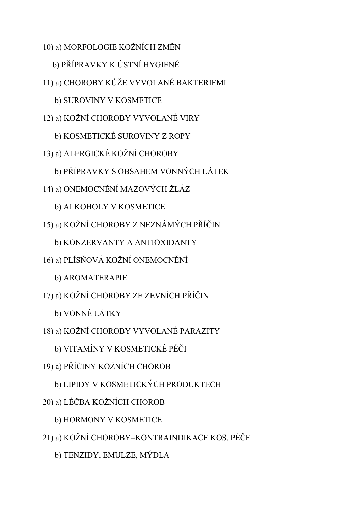- 10) a) MORFOLOGIE KOŽNÍCH ZMĚN
	- b) PŘÍPRAVKY K ÚSTNÍ HYGIENĚ
- 11) a) CHOROBY KŮŽE VYVOLANÉ BAKTERIEMI
	- b) SUROVINY V KOSMETICE
- 12) a) KOŽNÍ CHOROBY VYVOLANÉ VIRY
	- b) KOSMETICKÉ SUROVINY Z ROPY
- 13) a) ALERGICKÉ KOŽNÍ CHOROBY
	- b) PŘÍPRAVKY S OBSAHEM VONNÝCH LÁTEK
- 14) a) ONEMOCNĚNÍ MAZOVÝCH ŽLÁZ
	- b) ALKOHOLY V KOSMETICE
- 15) a) KOŽNÍ CHOROBY Z NEZNÁMÝCH PŘÍČIN
	- b) KONZERVANTY A ANTIOXIDANTY
- 16) a) PLÍSŇOVÁ KOŽNÍ ONEMOCNĚNÍ
	- b) AROMATERAPIE
- 17) a) KOŽNÍ CHOROBY ZE ZEVNÍCH PŘÍČIN
	- b) VONNÉ LÁTKY
- 18) a) KOŽNÍ CHOROBY VYVOLANÉ PARAZITY
	- b) VITAMÍNY V KOSMETICKÉ PÉČI
- 19) a) PŘÍČINY KOŽNÍCH CHOROB
	- b) LIPIDY V KOSMETICKÝCH PRODUKTECH
- 20) a) LÉČBA KOŽNÍCH CHOROB
	- b) HORMONY V KOSMETICE
- 21) a) KOŽNÍ CHOROBY=KONTRAINDIKACE KOS. PÉČE
	- b) TENZIDY, EMULZE, MÝDLA